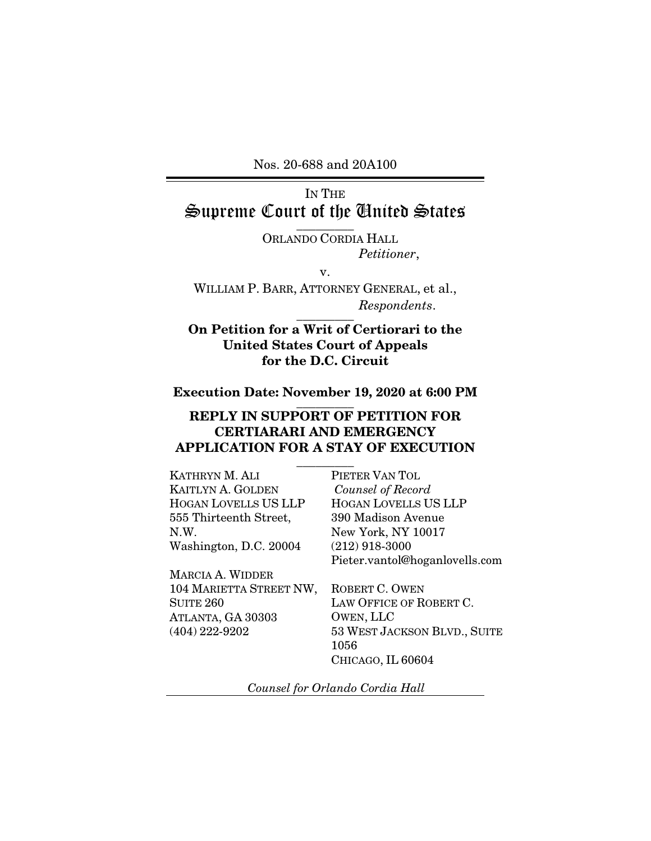Nos. 20-688 and 20A100

# IN THE Supreme Court of the United States  $\frac{1}{\sqrt{2}}$

ORLANDO CORDIA HALL *Petitioner*,

v.

WILLIAM P. BARR, ATTORNEY GENERAL, et al., *Respondents*.  $\overline{\phantom{a}}$  . The set of  $\overline{\phantom{a}}$ 

## On Petition for a Writ of Certiorari to the United States Court of Appeals for the D.C. Circuit

#### Execution Date: November 19, 2020 at 6:00 PM  $\overline{\phantom{a}}$  ,  $\overline{\phantom{a}}$

# REPLY IN SUPPORT OF PETITION FOR CERTIARARI AND EMERGENCY APPLICATION FOR A STAY OF EXECUTION

| KATHRYN M. ALI           | PIETER VAN TOL                 |
|--------------------------|--------------------------------|
| <b>KAITLYN A. GOLDEN</b> | Counsel of Record              |
| HOGAN LOVELLS US LLP     | <b>HOGAN LOVELLS US LLP</b>    |
| 555 Thirteenth Street,   | 390 Madison Avenue             |
| N.W.                     | New York, NY 10017             |
| Washington, D.C. 20004   | $(212)$ 918-3000               |
|                          | Pieter.vantol@hoganlovells.com |
| <b>MARCIA A. WIDDER</b>  |                                |
| 104 MARIETTA STREET NW,  | ROBERT C. OWEN                 |
| <b>SUITE 260</b>         | LAW OFFICE OF ROBERT C.        |
| ATLANTA, GA 30303        | OWEN, LLC                      |
| $(404)$ 222-9202         | 53 WEST JACKSON BLVD., SUITE   |
|                          | 1056                           |

*Counsel for Orlando Cordia Hall* 

CHICAGO, IL 60604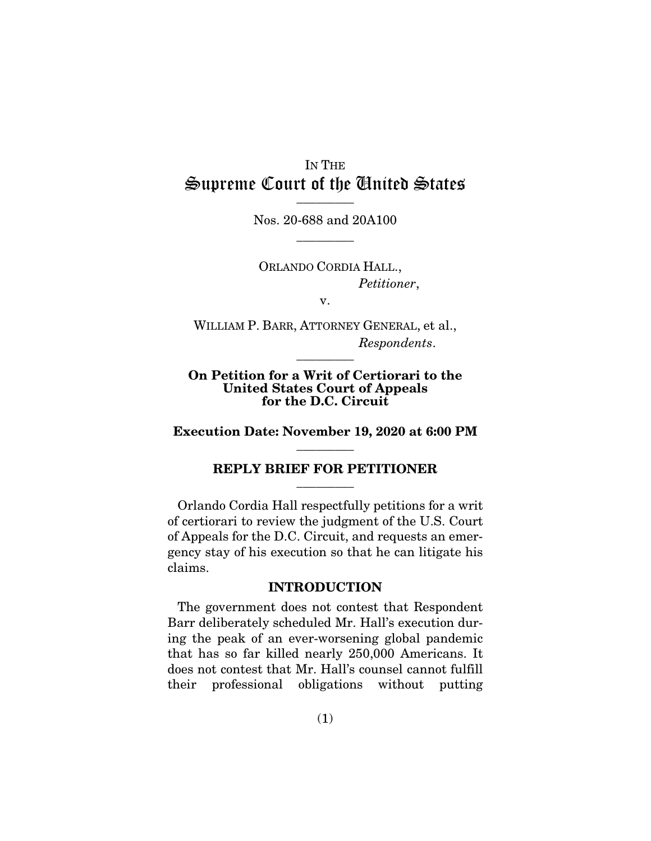# IN THE Supreme Court of the United States  $\frac{1}{\sqrt{2}}$

Nos. 20-688 and 20A100  $\overline{\phantom{a}}$  . The set of  $\overline{\phantom{a}}$ 

ORLANDO CORDIA HALL., *Petitioner*,

v.

WILLIAM P. BARR, ATTORNEY GENERAL, et al., *Respondents*.  $\overline{\phantom{a}}$  . The set of  $\overline{\phantom{a}}$ 

#### On Petition for a Writ of Certiorari to the United States Court of Appeals for the D.C. Circuit

Execution Date: November 19, 2020 at 6:00 PM  $\overline{\phantom{a}}$  . The set of  $\overline{\phantom{a}}$ 

#### REPLY BRIEF FOR PETITIONER  $\overline{\phantom{a}}$  . The set of  $\overline{\phantom{a}}$

Orlando Cordia Hall respectfully petitions for a writ of certiorari to review the judgment of the U.S. Court of Appeals for the D.C. Circuit, and requests an emergency stay of his execution so that he can litigate his claims.

#### INTRODUCTION

The government does not contest that Respondent Barr deliberately scheduled Mr. Hall's execution during the peak of an ever-worsening global pandemic that has so far killed nearly 250,000 Americans. It does not contest that Mr. Hall's counsel cannot fulfill their professional obligations without putting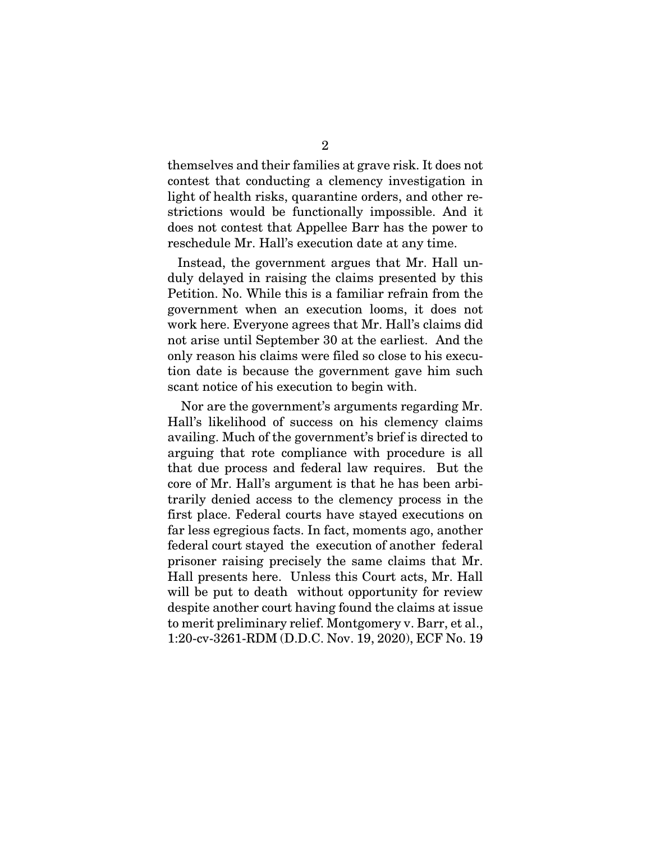themselves and their families at grave risk. It does not contest that conducting a clemency investigation in light of health risks, quarantine orders, and other restrictions would be functionally impossible. And it does not contest that Appellee Barr has the power to reschedule Mr. Hall's execution date at any time.

Instead, the government argues that Mr. Hall unduly delayed in raising the claims presented by this Petition. No. While this is a familiar refrain from the government when an execution looms, it does not work here. Everyone agrees that Mr. Hall's claims did not arise until September 30 at the earliest. And the only reason his claims were filed so close to his execution date is because the government gave him such scant notice of his execution to begin with.

 Nor are the government's arguments regarding Mr. Hall's likelihood of success on his clemency claims availing. Much of the government's brief is directed to arguing that rote compliance with procedure is all that due process and federal law requires. But the core of Mr. Hall's argument is that he has been arbitrarily denied access to the clemency process in the first place. Federal courts have stayed executions on far less egregious facts. In fact, moments ago, another federal court stayed the execution of another federal prisoner raising precisely the same claims that Mr. Hall presents here. Unless this Court acts, Mr. Hall will be put to death without opportunity for review despite another court having found the claims at issue to merit preliminary relief. Montgomery v. Barr, et al., 1:20-cv-3261-RDM (D.D.C. Nov. 19, 2020), ECF No. 19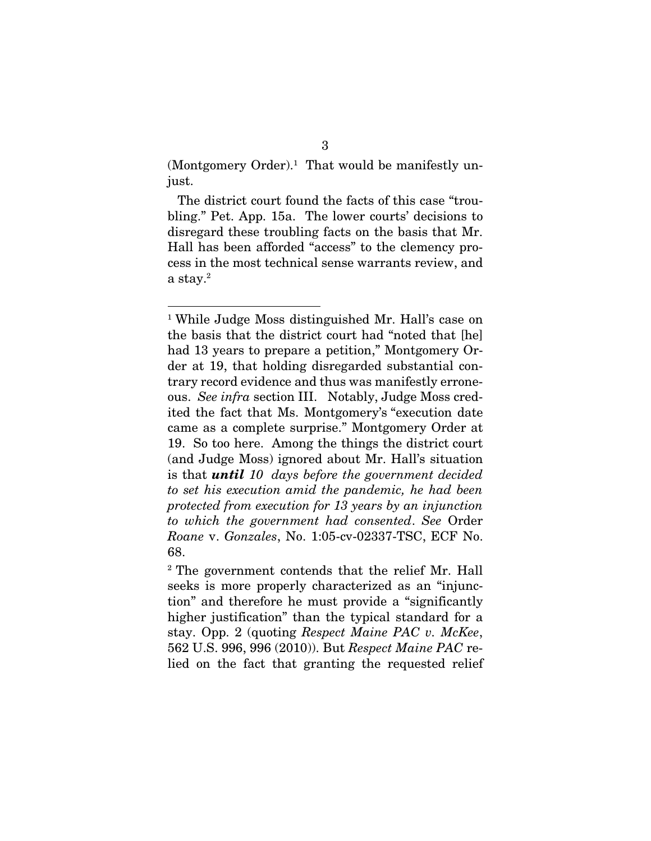$(Montgomery Order).<sup>1</sup>$  That would be manifestly unjust.

The district court found the facts of this case "troubling." Pet. App. 15a. The lower courts' decisions to disregard these troubling facts on the basis that Mr. Hall has been afforded "access" to the clemency process in the most technical sense warrants review, and a stay.<sup>2</sup>

<sup>1</sup> While Judge Moss distinguished Mr. Hall's case on the basis that the district court had "noted that [he] had 13 years to prepare a petition," Montgomery Order at 19, that holding disregarded substantial contrary record evidence and thus was manifestly erroneous. *See infra* section III. Notably, Judge Moss credited the fact that Ms. Montgomery's "execution date came as a complete surprise." Montgomery Order at 19. So too here. Among the things the district court (and Judge Moss) ignored about Mr. Hall's situation is that *until 10 days before the government decided to set his execution amid the pandemic, he had been protected from execution for 13 years by an injunction to which the government had consented*. *See* Order *Roane* v. *Gonzales*, No. 1:05-cv-02337-TSC, ECF No. 68.

<sup>2</sup> The government contends that the relief Mr. Hall seeks is more properly characterized as an "injunction" and therefore he must provide a "significantly higher justification" than the typical standard for a stay. Opp. 2 (quoting *Respect Maine PAC v. McKee*, 562 U.S. 996, 996 (2010)). But *Respect Maine PAC* relied on the fact that granting the requested relief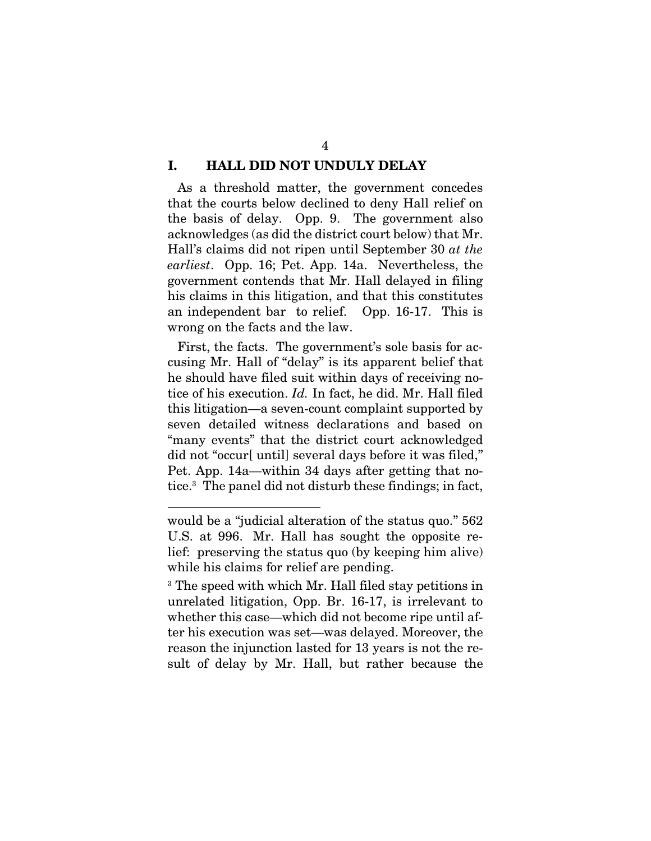#### I. HALL DID NOT UNDULY DELAY

As a threshold matter, the government concedes that the courts below declined to deny Hall relief on the basis of delay. Opp. 9. The government also acknowledges (as did the district court below) that Mr. Hall's claims did not ripen until September 30 *at the earliest*. Opp. 16; Pet. App. 14a. Nevertheless, the government contends that Mr. Hall delayed in filing his claims in this litigation, and that this constitutes an independent bar to relief. Opp. 16-17. This is wrong on the facts and the law.

First, the facts. The government's sole basis for accusing Mr. Hall of "delay" is its apparent belief that he should have filed suit within days of receiving notice of his execution. *Id.* In fact, he did. Mr. Hall filed this litigation—a seven-count complaint supported by seven detailed witness declarations and based on "many events" that the district court acknowledged did not "occur[ until] several days before it was filed," Pet. App. 14a—within 34 days after getting that notice.<sup>3</sup> The panel did not disturb these findings; in fact,

would be a "judicial alteration of the status quo." 562 U.S. at 996. Mr. Hall has sought the opposite relief: preserving the status quo (by keeping him alive) while his claims for relief are pending.

<sup>3</sup> The speed with which Mr. Hall filed stay petitions in unrelated litigation, Opp. Br. 16-17, is irrelevant to whether this case—which did not become ripe until after his execution was set—was delayed. Moreover, the reason the injunction lasted for 13 years is not the result of delay by Mr. Hall, but rather because the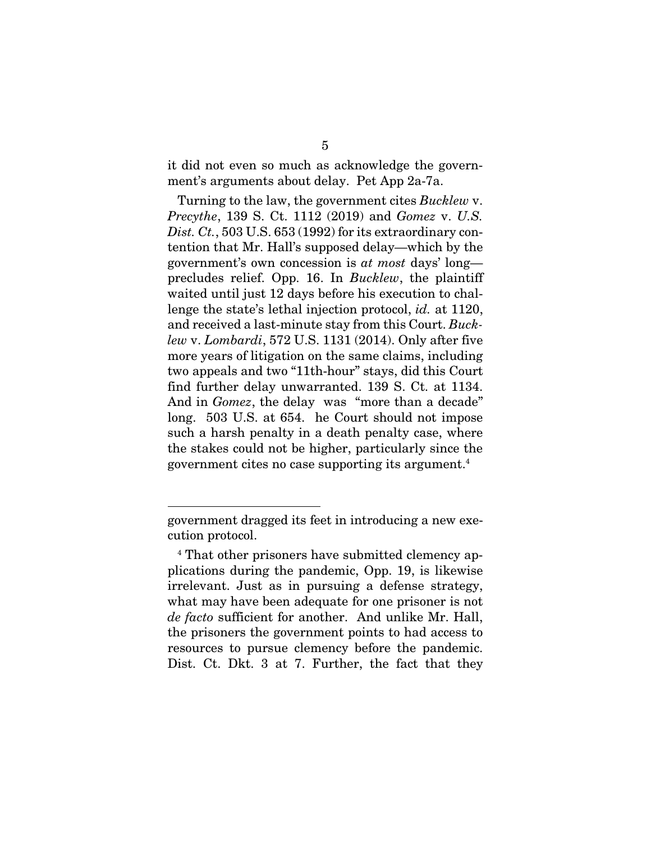it did not even so much as acknowledge the government's arguments about delay. Pet App 2a-7a.

Turning to the law, the government cites *Bucklew* v. *Precythe*, 139 S. Ct. 1112 (2019) and *Gomez* v. *U.S. Dist. Ct.*, 503 U.S. 653 (1992) for its extraordinary contention that Mr. Hall's supposed delay—which by the government's own concession is *at most* days' long precludes relief. Opp. 16. In *Bucklew*, the plaintiff waited until just 12 days before his execution to challenge the state's lethal injection protocol, *id.* at 1120, and received a last-minute stay from this Court. *Bucklew* v. *Lombardi*, 572 U.S. 1131 (2014). Only after five more years of litigation on the same claims, including two appeals and two "11th-hour" stays, did this Court find further delay unwarranted. 139 S. Ct. at 1134. And in *Gomez*, the delay was "more than a decade" long. 503 U.S. at 654. he Court should not impose such a harsh penalty in a death penalty case, where the stakes could not be higher, particularly since the government cites no case supporting its argument.<sup>4</sup>

government dragged its feet in introducing a new execution protocol.

<sup>4</sup> That other prisoners have submitted clemency applications during the pandemic, Opp. 19, is likewise irrelevant. Just as in pursuing a defense strategy, what may have been adequate for one prisoner is not *de facto* sufficient for another. And unlike Mr. Hall, the prisoners the government points to had access to resources to pursue clemency before the pandemic. Dist. Ct. Dkt. 3 at 7. Further, the fact that they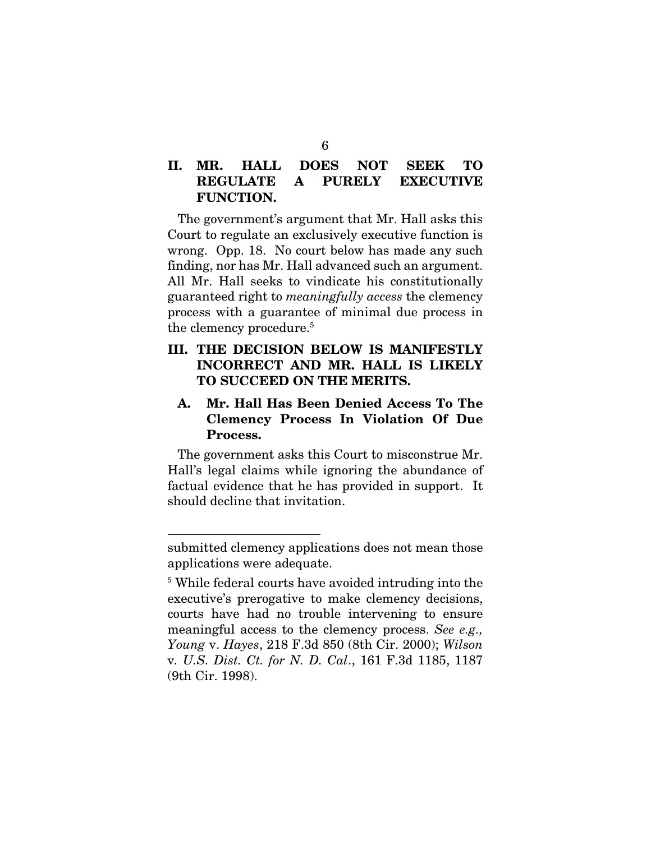# II. MR. HALL DOES NOT SEEK TO REGULATE A PURELY EXECUTIVE FUNCTION.

The government's argument that Mr. Hall asks this Court to regulate an exclusively executive function is wrong. Opp. 18. No court below has made any such finding, nor has Mr. Hall advanced such an argument. All Mr. Hall seeks to vindicate his constitutionally guaranteed right to *meaningfully access* the clemency process with a guarantee of minimal due process in the clemency procedure.<sup>5</sup>

### III. THE DECISION BELOW IS MANIFESTLY INCORRECT AND MR. HALL IS LIKELY TO SUCCEED ON THE MERITS.

# A. Mr. Hall Has Been Denied Access To The Clemency Process In Violation Of Due Process.

The government asks this Court to misconstrue Mr. Hall's legal claims while ignoring the abundance of factual evidence that he has provided in support. It should decline that invitation.

submitted clemency applications does not mean those applications were adequate.

<sup>5</sup> While federal courts have avoided intruding into the executive's prerogative to make clemency decisions, courts have had no trouble intervening to ensure meaningful access to the clemency process. *See e.g., Young* v. *Hayes*, 218 F.3d 850 (8th Cir. 2000); *Wilson* v*. U.S. Dist. Ct. for N. D. Cal*., 161 F.3d 1185, 1187 (9th Cir. 1998).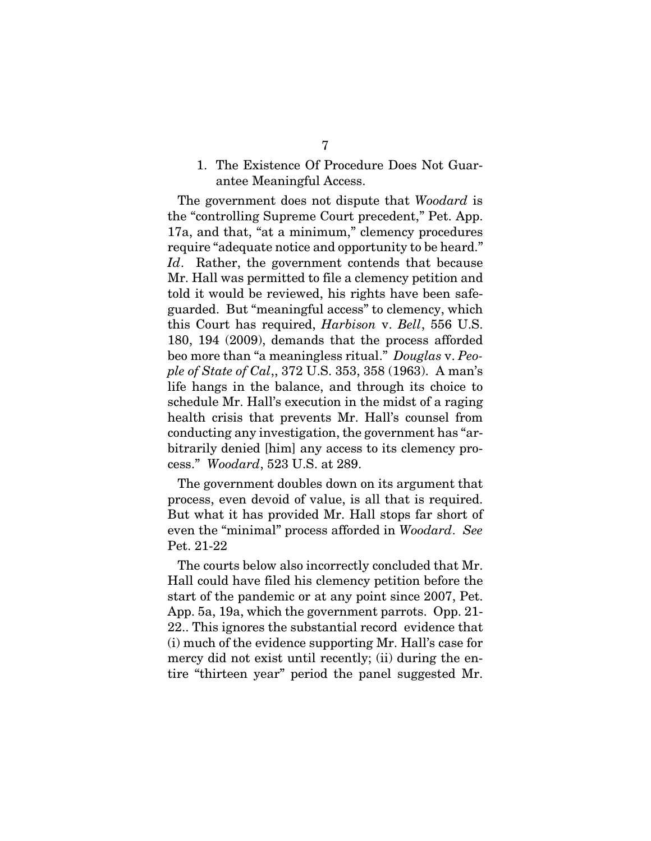## 1. The Existence Of Procedure Does Not Guarantee Meaningful Access.

The government does not dispute that *Woodard* is the "controlling Supreme Court precedent," Pet. App. 17a, and that, "at a minimum," clemency procedures require "adequate notice and opportunity to be heard." *Id*. Rather, the government contends that because Mr. Hall was permitted to file a clemency petition and told it would be reviewed, his rights have been safeguarded. But "meaningful access" to clemency, which this Court has required, *Harbison* v. *Bell*, 556 U.S. 180, 194 (2009), demands that the process afforded beo more than "a meaningless ritual." *Douglas* v. *People of State of Cal*,, 372 U.S. 353, 358 (1963). A man's life hangs in the balance, and through its choice to schedule Mr. Hall's execution in the midst of a raging health crisis that prevents Mr. Hall's counsel from conducting any investigation, the government has "arbitrarily denied [him] any access to its clemency process." *Woodard*, 523 U.S. at 289.

The government doubles down on its argument that process, even devoid of value, is all that is required. But what it has provided Mr. Hall stops far short of even the "minimal" process afforded in *Woodard*. *See*  Pet. 21-22

The courts below also incorrectly concluded that Mr. Hall could have filed his clemency petition before the start of the pandemic or at any point since 2007, Pet. App. 5a, 19a, which the government parrots. Opp. 21- 22.. This ignores the substantial record evidence that (i) much of the evidence supporting Mr. Hall's case for mercy did not exist until recently; (ii) during the entire "thirteen year" period the panel suggested Mr.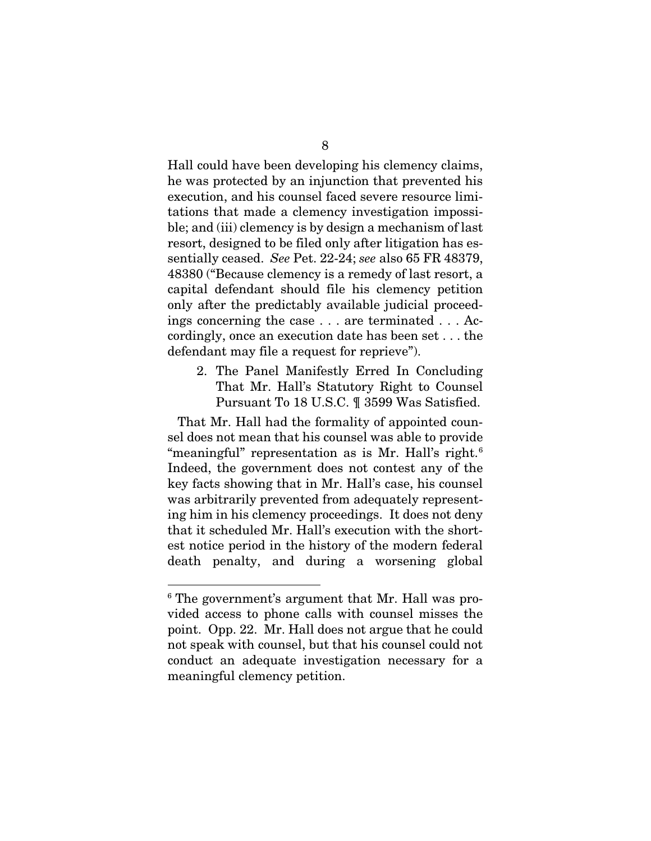Hall could have been developing his clemency claims, he was protected by an injunction that prevented his execution, and his counsel faced severe resource limitations that made a clemency investigation impossible; and (iii) clemency is by design a mechanism of last resort, designed to be filed only after litigation has essentially ceased. *See* Pet. 22-24; *see* also 65 FR 48379, 48380 ("Because clemency is a remedy of last resort, a capital defendant should file his clemency petition only after the predictably available judicial proceedings concerning the case . . . are terminated . . . Accordingly, once an execution date has been set . . . the defendant may file a request for reprieve").

2. The Panel Manifestly Erred In Concluding That Mr. Hall's Statutory Right to Counsel Pursuant To 18 U.S.C. ¶ 3599 Was Satisfied.

That Mr. Hall had the formality of appointed counsel does not mean that his counsel was able to provide "meaningful" representation as is Mr. Hall's right.<sup>6</sup> Indeed, the government does not contest any of the key facts showing that in Mr. Hall's case, his counsel was arbitrarily prevented from adequately representing him in his clemency proceedings. It does not deny that it scheduled Mr. Hall's execution with the shortest notice period in the history of the modern federal death penalty, and during a worsening global

 $^6$  The government's argument that Mr. Hall was provided access to phone calls with counsel misses the point. Opp. 22. Mr. Hall does not argue that he could not speak with counsel, but that his counsel could not conduct an adequate investigation necessary for a meaningful clemency petition.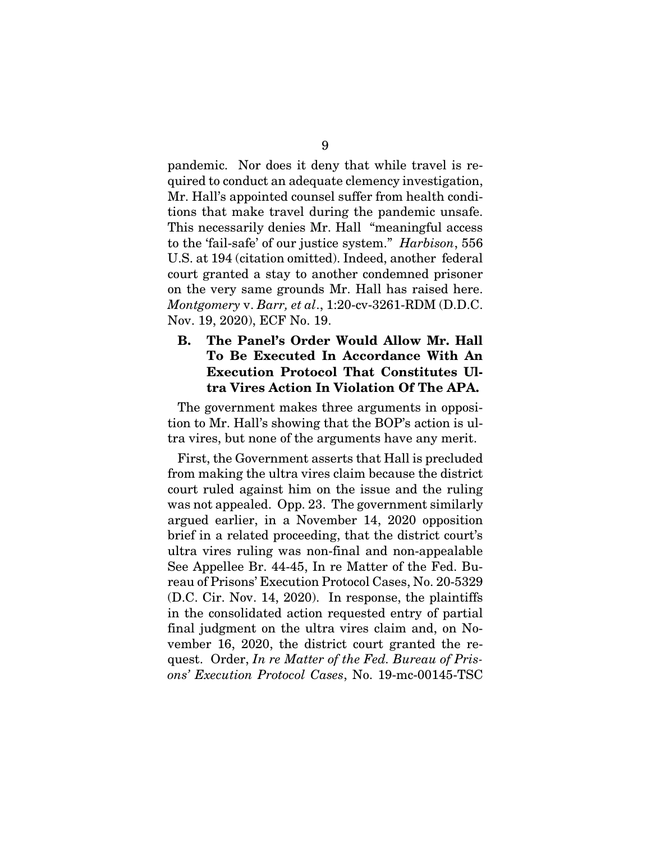pandemic. Nor does it deny that while travel is required to conduct an adequate clemency investigation, Mr. Hall's appointed counsel suffer from health conditions that make travel during the pandemic unsafe. This necessarily denies Mr. Hall "meaningful access to the 'fail-safe' of our justice system." *Harbison*, 556 U.S. at 194 (citation omitted). Indeed, another federal court granted a stay to another condemned prisoner on the very same grounds Mr. Hall has raised here. *Montgomery* v. *Barr, et al*., 1:20-cv-3261-RDM (D.D.C. Nov. 19, 2020), ECF No. 19.

## B. The Panel's Order Would Allow Mr. Hall To Be Executed In Accordance With An Execution Protocol That Constitutes Ultra Vires Action In Violation Of The APA.

The government makes three arguments in opposition to Mr. Hall's showing that the BOP's action is ultra vires, but none of the arguments have any merit.

First, the Government asserts that Hall is precluded from making the ultra vires claim because the district court ruled against him on the issue and the ruling was not appealed. Opp. 23. The government similarly argued earlier, in a November 14, 2020 opposition brief in a related proceeding, that the district court's ultra vires ruling was non-final and non-appealable See Appellee Br. 44-45, In re Matter of the Fed. Bureau of Prisons' Execution Protocol Cases, No. 20-5329 (D.C. Cir. Nov. 14, 2020). In response, the plaintiffs in the consolidated action requested entry of partial final judgment on the ultra vires claim and, on November 16, 2020, the district court granted the request. Order, *In re Matter of the Fed. Bureau of Prisons' Execution Protocol Cases*, No. 19-mc-00145-TSC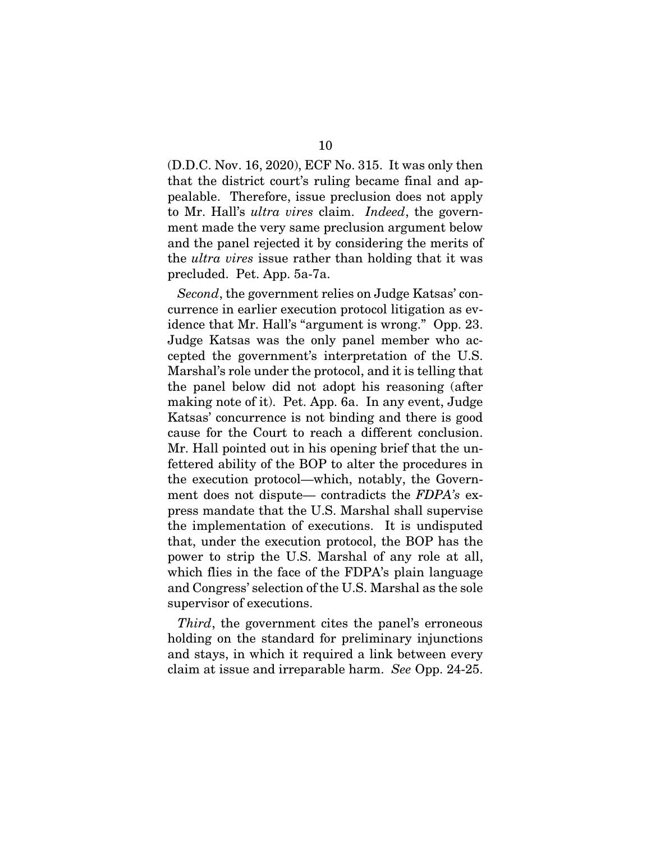(D.D.C. Nov. 16, 2020), ECF No. 315. It was only then that the district court's ruling became final and appealable. Therefore, issue preclusion does not apply to Mr. Hall's *ultra vires* claim. *Indeed*, the government made the very same preclusion argument below and the panel rejected it by considering the merits of the *ultra vires* issue rather than holding that it was precluded. Pet. App. 5a-7a.

*Second*, the government relies on Judge Katsas' concurrence in earlier execution protocol litigation as evidence that Mr. Hall's "argument is wrong." Opp. 23. Judge Katsas was the only panel member who accepted the government's interpretation of the U.S. Marshal's role under the protocol, and it is telling that the panel below did not adopt his reasoning (after making note of it). Pet. App. 6a. In any event, Judge Katsas' concurrence is not binding and there is good cause for the Court to reach a different conclusion. Mr. Hall pointed out in his opening brief that the unfettered ability of the BOP to alter the procedures in the execution protocol—which, notably, the Government does not dispute— contradicts the *FDPA's* express mandate that the U.S. Marshal shall supervise the implementation of executions. It is undisputed that, under the execution protocol, the BOP has the power to strip the U.S. Marshal of any role at all, which flies in the face of the FDPA's plain language and Congress' selection of the U.S. Marshal as the sole supervisor of executions.

*Third*, the government cites the panel's erroneous holding on the standard for preliminary injunctions and stays, in which it required a link between every claim at issue and irreparable harm. *See* Opp. 24-25.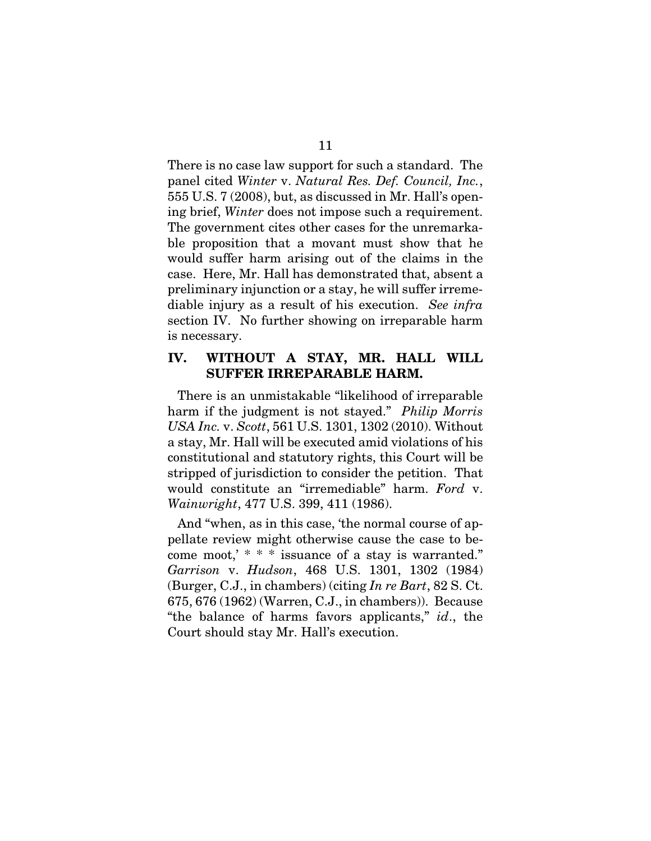There is no case law support for such a standard. The panel cited *Winter* v. *Natural Res. Def. Council, Inc.*, 555 U.S. 7 (2008), but, as discussed in Mr. Hall's opening brief, *Winter* does not impose such a requirement. The government cites other cases for the unremarkable proposition that a movant must show that he would suffer harm arising out of the claims in the case. Here, Mr. Hall has demonstrated that, absent a preliminary injunction or a stay, he will suffer irremediable injury as a result of his execution. *See infra* section IV. No further showing on irreparable harm is necessary.

### IV. WITHOUT A STAY, MR. HALL WILL SUFFER IRREPARABLE HARM.

There is an unmistakable "likelihood of irreparable harm if the judgment is not stayed." *Philip Morris USA Inc.* v. *Scott*, 561 U.S. 1301, 1302 (2010). Without a stay, Mr. Hall will be executed amid violations of his constitutional and statutory rights, this Court will be stripped of jurisdiction to consider the petition. That would constitute an "irremediable" harm. *Ford* v. *Wainwright*, 477 U.S. 399, 411 (1986).

And "when, as in this case, 'the normal course of appellate review might otherwise cause the case to become moot,' \* \* \* issuance of a stay is warranted." *Garrison* v. *Hudson*, 468 U.S. 1301, 1302 (1984) (Burger, C.J., in chambers) (citing *In re Bart*, 82 S. Ct. 675, 676 (1962) (Warren, C.J., in chambers)). Because "the balance of harms favors applicants," *id*., the Court should stay Mr. Hall's execution.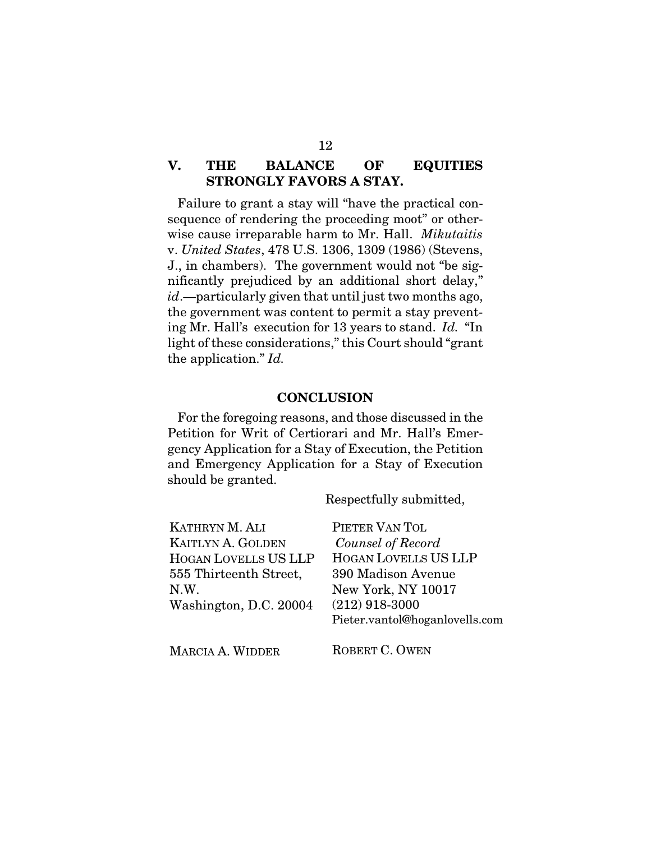# V. THE BALANCE OF EQUITIES STRONGLY FAVORS A STAY.

Failure to grant a stay will "have the practical consequence of rendering the proceeding moot" or otherwise cause irreparable harm to Mr. Hall. *Mikutaitis*  v. *United States*, 478 U.S. 1306, 1309 (1986) (Stevens, J., in chambers). The government would not "be significantly prejudiced by an additional short delay," *id*.—particularly given that until just two months ago, the government was content to permit a stay preventing Mr. Hall's execution for 13 years to stand. *Id.* "In light of these considerations," this Court should "grant the application." *Id.*

#### **CONCLUSION**

For the foregoing reasons, and those discussed in the Petition for Writ of Certiorari and Mr. Hall's Emergency Application for a Stay of Execution, the Petition and Emergency Application for a Stay of Execution should be granted.

Respectfully submitted,

| KATHRYN M. ALI              | PIETER VAN TOL                 |
|-----------------------------|--------------------------------|
| <b>KAITLYN A. GOLDEN</b>    | Counsel of Record              |
| <b>HOGAN LOVELLS US LLP</b> | <b>HOGAN LOVELLS US LLP</b>    |
| 555 Thirteenth Street,      | 390 Madison Avenue             |
| N.W.                        | New York, NY 10017             |
| Washington, D.C. 20004      | $(212)$ 918-3000               |
|                             | Pieter.vantol@hoganlovells.com |
|                             |                                |

MARCIA A. WIDDER

ROBERT C. OWEN